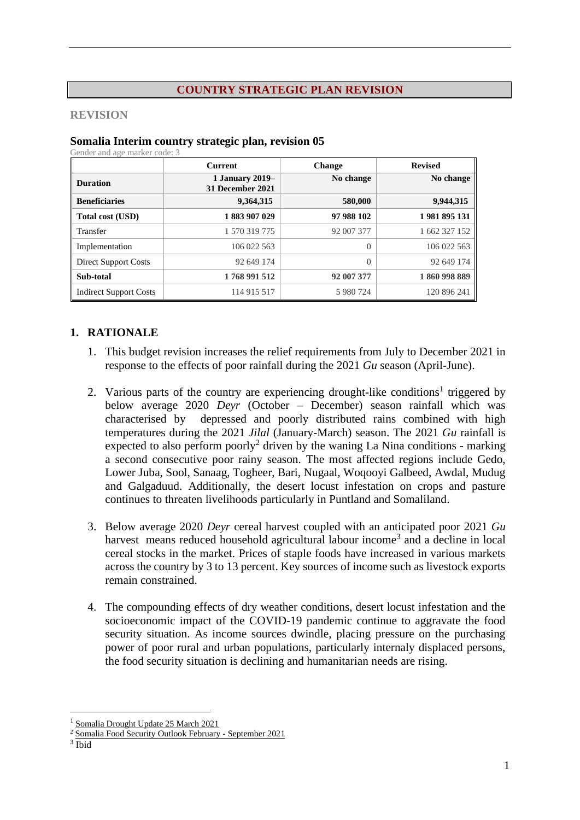#### **COUNTRY STRATEGIC PLAN REVISION**

#### **REVISION**

#### **Somalia Interim country strategic plan, revision 05**

Gender and age marker code: 3

|                               | <b>Current</b>                             | <b>Change</b> | <b>Revised</b> |  |
|-------------------------------|--------------------------------------------|---------------|----------------|--|
| <b>Duration</b>               | <b>1 January 2019–</b><br>31 December 2021 | No change     | No change      |  |
| <b>Beneficiaries</b>          | 9,364,315                                  | 580,000       | 9,944,315      |  |
| Total cost (USD)              | 1883907029                                 | 97 988 102    | 1981895131     |  |
| Transfer                      | 1 570 319 775                              | 92 007 377    | 1 662 327 152  |  |
| Implementation                | 106 022 563                                | $\Omega$      | 106 022 563    |  |
| Direct Support Costs          | 92 649 174                                 | $\Omega$      | 92 649 174     |  |
| Sub-total                     | 1768 991 512                               | 92 007 377    | 1860998889     |  |
| <b>Indirect Support Costs</b> | 114 915 517                                | 5 980 724     | 120 896 241    |  |

#### **1. RATIONALE**

- 1. This budget revision increases the relief requirements from July to December 2021 in response to the effects of poor rainfall during the 2021 *Gu* season (April-June).
- 2. Various parts of the country are experiencing drought-like conditions<sup>1</sup> triggered by below average 2020 *Deyr* (October – December) season rainfall which was characterised by depressed and poorly distributed rains combined with high temperatures during the 2021 *Jilal* (January-March) season. The 2021 *Gu* rainfall is expected to also perform poorly<sup>2</sup> driven by the waning La Nina conditions - marking a second consecutive poor rainy season. The most affected regions include Gedo, Lower Juba, Sool, Sanaag, Togheer, Bari, Nugaal, Woqooyi Galbeed, Awdal, Mudug and Galgaduud. Additionally, the desert locust infestation on crops and pasture continues to threaten livelihoods particularly in Puntland and Somaliland.
- 3. Below average 2020 *Deyr* cereal harvest coupled with an anticipated poor 2021 *Gu* harvest means reduced household agricultural labour income<sup>3</sup> and a decline in local cereal stocks in the market. Prices of staple foods have increased in various markets across the country by 3 to 13 percent. Key sources of income such as livestock exports remain constrained.
- 4. The compounding effects of dry weather conditions, desert locust infestation and the socioeconomic impact of the COVID-19 pandemic continue to aggravate the food security situation. As income sources dwindle, placing pressure on the purchasing power of poor rural and urban populations, particularly internaly displaced persons, the food security situation is declining and humanitarian needs are rising.

[Somalia Drought Update 25 March 2021](https://reliefweb.int/report/somalia/somalia-drought-update-25-march-2021)

<sup>2</sup> [Somalia Food Security Outlook February -](https://reliefweb.int/report/somalia/somalia-food-security-outlook-february-september-2021) September 2021

<sup>3</sup> Ibid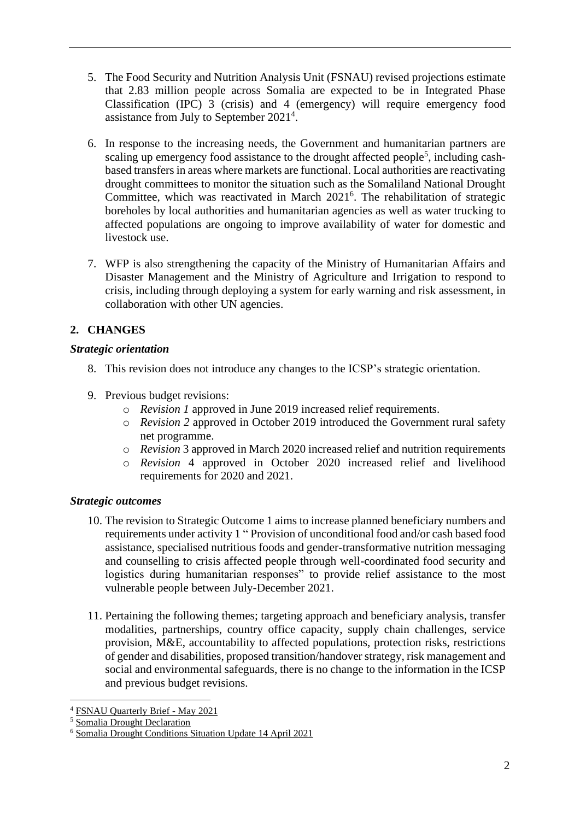- 5. The Food Security and Nutrition Analysis Unit (FSNAU) revised projections estimate that 2.83 million people across Somalia are expected to be in Integrated Phase Classification (IPC) 3 (crisis) and 4 (emergency) will require emergency food assistance from July to September 2021<sup>4</sup>.
- 6. In response to the increasing needs, the Government and humanitarian partners are scaling up emergency food assistance to the drought affected people<sup>5</sup>, including cashbased transfers in areas where markets are functional. Local authorities are reactivating drought committees to monitor the situation such as the Somaliland National Drought Committee, which was reactivated in March 2021<sup>6</sup>. The rehabilitation of strategic boreholes by local authorities and humanitarian agencies as well as water trucking to affected populations are ongoing to improve availability of water for domestic and livestock use.
- 7. WFP is also strengthening the capacity of the Ministry of Humanitarian Affairs and Disaster Management and the Ministry of Agriculture and Irrigation to respond to crisis, including through deploying a system for early warning and risk assessment, in collaboration with other UN agencies.

## **2. CHANGES**

### *Strategic orientation*

- 8. This revision does not introduce any changes to the ICSP's strategic orientation.
- 9. Previous budget revisions:
	- o *Revision 1* approved in June 2019 increased relief requirements.
	- o *Revision 2* approved in October 2019 introduced the Government rural safety net programme.
	- o *Revision* 3 approved in March 2020 increased relief and nutrition requirements
	- o *Revision* 4 approved in October 2020 increased relief and livelihood requirements for 2020 and 2021.

## *Strategic outcomes*

- 10. The revision to Strategic Outcome 1 aims to increase planned beneficiary numbers and requirements under activity 1 " Provision of unconditional food and/or cash based food assistance, specialised nutritious foods and gender-transformative nutrition messaging and counselling to crisis affected people through well-coordinated food security and logistics during humanitarian responses" to provide relief assistance to the most vulnerable people between July-December 2021.
- 11. Pertaining the following themes; targeting approach and beneficiary analysis, transfer modalities, partnerships, country office capacity, supply chain challenges, service provision, M&E, accountability to affected populations, protection risks, restrictions of gender and disabilities, proposed transition/handover strategy, risk management and social and environmental safeguards, there is no change to the information in the ICSP and previous budget revisions.

<sup>4</sup> [FSNAU Quarterly Brief -](https://fews.net/east-africa/somalia) May 2021

<sup>5</sup> [Somalia Drought Declaration](https://reliefweb.int/report/somalia/somalia-humanitarian-leadership-declares-drought) 

<sup>6</sup> [Somalia Drought Conditions Situation Update 14 April 2021](https://reliefweb.int/report/somalia/somalia-drought-conditions-situation-update-14-april-2021)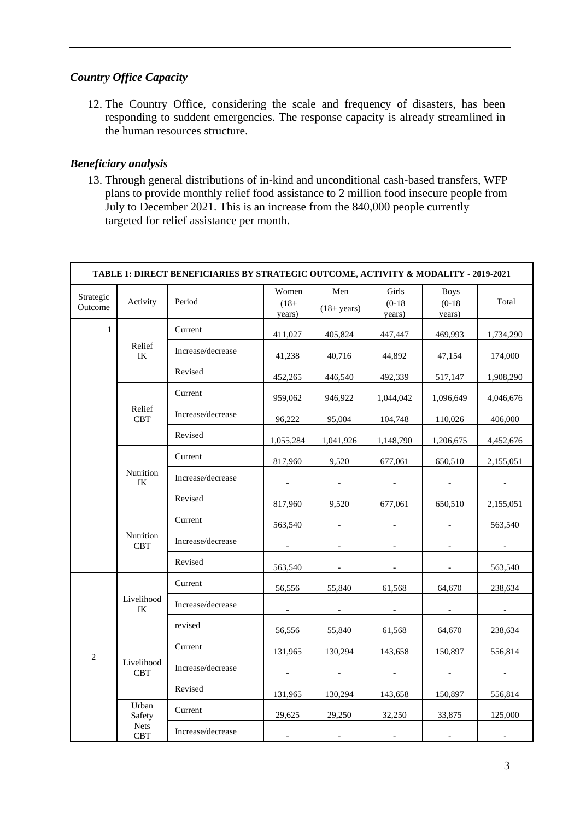## *Country Office Capacity*

12. The Country Office, considering the scale and frequency of disasters, has been responding to suddent emergencies. The response capacity is already streamlined in the human resources structure.

### *Beneficiary analysis*

13. Through general distributions of in-kind and unconditional cash-based transfers, WFP plans to provide monthly relief food assistance to 2 million food insecure people from July to December 2021. This is an increase from the 840,000 people currently targeted for relief assistance per month.

| TABLE 1: DIRECT BENEFICIARIES BY STRATEGIC OUTCOME, ACTIVITY & MODALITY - 2019-2021 |                           |                   |                            |                       |                             |                                   |           |  |  |
|-------------------------------------------------------------------------------------|---------------------------|-------------------|----------------------------|-----------------------|-----------------------------|-----------------------------------|-----------|--|--|
| Strategic<br>Outcome                                                                | Activity                  | Period            | Women<br>$(18 +$<br>years) | Men<br>$(18 + years)$ | Girls<br>$(0-18)$<br>years) | <b>Boys</b><br>$(0-18)$<br>years) | Total     |  |  |
| $\mathbf{1}$                                                                        |                           | Current           | 411,027                    | 405,824               | 447,447                     | 469,993                           | 1,734,290 |  |  |
|                                                                                     | Relief<br>IK              | Increase/decrease | 41,238                     | 40,716                | 44,892                      | 47,154                            | 174,000   |  |  |
|                                                                                     |                           | Revised           | 452,265                    | 446,540               | 492,339                     | 517,147                           | 1,908,290 |  |  |
|                                                                                     |                           | Current           | 959,062                    | 946,922               | 1,044,042                   | 1,096,649                         | 4,046,676 |  |  |
|                                                                                     | Relief<br><b>CBT</b>      | Increase/decrease | 96,222                     | 95,004                | 104,748                     | 110,026                           | 406,000   |  |  |
|                                                                                     |                           | Revised           | 1,055,284                  | 1,041,926             | 1,148,790                   | 1,206,675                         | 4,452,676 |  |  |
|                                                                                     |                           | Current           | 817.960                    | 9.520                 | 677,061                     | 650,510                           | 2,155,051 |  |  |
|                                                                                     | Nutrition<br>IK           | Increase/decrease | $\overline{\phantom{a}}$   | $\sim$                | $\sim$                      | $\sim$                            |           |  |  |
|                                                                                     |                           | Revised           | 817,960                    | 9,520                 | 677,061                     | 650,510                           | 2,155,051 |  |  |
|                                                                                     |                           | Current           | 563,540                    |                       |                             |                                   | 563,540   |  |  |
|                                                                                     | Nutrition<br><b>CBT</b>   | Increase/decrease |                            |                       |                             |                                   |           |  |  |
|                                                                                     |                           | Revised           | 563,540                    | $\sim$                | $\sim$                      | $\sim$                            | 563,540   |  |  |
|                                                                                     |                           | Current           | 56,556                     | 55,840                | 61,568                      | 64,670                            | 238,634   |  |  |
|                                                                                     | Livelihood<br>IK          | Increase/decrease |                            | $\sim$                | $\sim$                      | $\sim$                            |           |  |  |
|                                                                                     |                           | revised           | 56,556                     | 55,840                | 61,568                      | 64,670                            | 238,634   |  |  |
|                                                                                     |                           | Current           | 131,965                    | 130,294               | 143,658                     | 150,897                           | 556,814   |  |  |
| 2                                                                                   | Livelihood<br><b>CBT</b>  | Increase/decrease |                            |                       |                             |                                   |           |  |  |
|                                                                                     |                           | Revised           | 131,965                    | 130,294               | 143,658                     | 150,897                           | 556,814   |  |  |
|                                                                                     | Urban<br>Safety           | Current           | 29,625                     | 29,250                | 32,250                      | 33,875                            | 125,000   |  |  |
|                                                                                     | <b>Nets</b><br><b>CBT</b> | Increase/decrease |                            |                       |                             |                                   |           |  |  |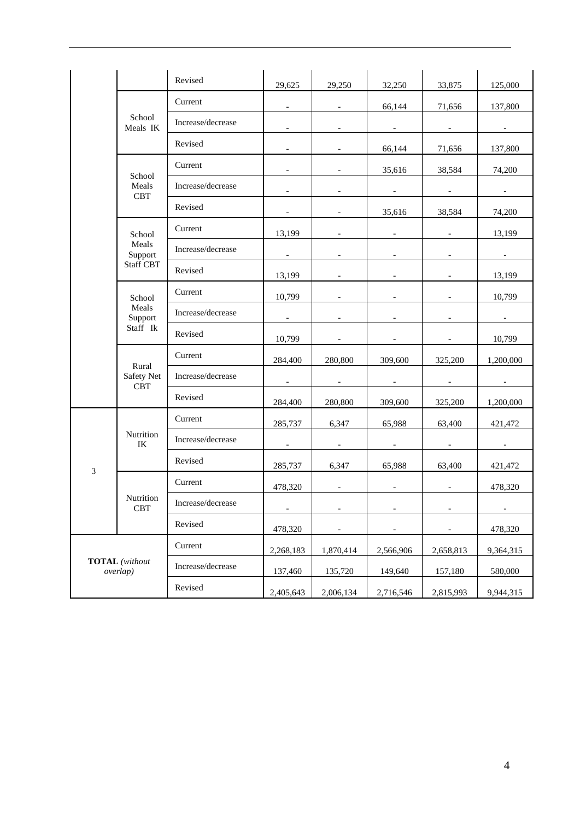|                    |                                   | Revised           | 29,625                   | 29,250                   | 32,250                   | 33,875                   | 125,000                  |
|--------------------|-----------------------------------|-------------------|--------------------------|--------------------------|--------------------------|--------------------------|--------------------------|
|                    |                                   | Current           | $\blacksquare$           |                          | 66,144                   | 71,656                   | 137,800                  |
| School<br>Meals IK |                                   | Increase/decrease |                          |                          |                          |                          |                          |
|                    |                                   | Revised           | $\overline{\phantom{a}}$ | $\overline{\phantom{a}}$ | 66,144                   | 71,656                   | 137,800                  |
|                    |                                   | Current           |                          |                          | 35,616                   | 38,584                   | 74,200                   |
|                    | School<br>Meals<br><b>CBT</b>     | Increase/decrease |                          |                          |                          |                          |                          |
|                    |                                   | Revised           | $\overline{\phantom{a}}$ | $\overline{\phantom{a}}$ | 35,616                   | 38,584                   | 74,200                   |
|                    | School                            | Current           | 13,199                   |                          |                          |                          | 13,199                   |
|                    | Meals<br>Support                  | Increase/decrease | $\overline{\phantom{a}}$ |                          |                          |                          | $\overline{\phantom{a}}$ |
|                    | <b>Staff CBT</b>                  | Revised           | 13,199                   |                          |                          |                          | 13,199                   |
|                    | School                            | Current           | 10,799                   |                          |                          |                          | 10,799                   |
|                    | Meals<br>Support<br>Staff Ik      | Increase/decrease | $\sim$                   | $\overline{\phantom{a}}$ | $\overline{\phantom{a}}$ | $\overline{\phantom{a}}$ | $\sim$                   |
|                    |                                   | Revised           | 10,799                   |                          |                          |                          | 10,799                   |
|                    |                                   | Current           | 284,400                  | 280,800                  | 309,600                  | 325,200                  | 1,200,000                |
|                    | Rural<br>Safety Net<br><b>CBT</b> | Increase/decrease | $\overline{\phantom{a}}$ | $\overline{\phantom{a}}$ | $\overline{\phantom{a}}$ | $\overline{\phantom{a}}$ | $\overline{\phantom{a}}$ |
|                    |                                   | Revised           | 284,400                  | 280,800                  | 309,600                  | 325,200                  | 1,200,000                |
|                    |                                   | Current           | 285,737                  | 6,347                    | 65,988                   | 63,400                   | 421,472                  |
|                    | Nutrition<br>IK                   | Increase/decrease | $\overline{\phantom{a}}$ | $\overline{\phantom{a}}$ | $\overline{\phantom{a}}$ | $\overline{\phantom{a}}$ | $\overline{\phantom{a}}$ |
| $\mathfrak{Z}$     |                                   | Revised           | 285,737                  | 6,347                    | 65,988                   | 63,400                   | 421,472                  |
|                    |                                   | Current           | 478,320                  | $\overline{\phantom{a}}$ | $\overline{\phantom{a}}$ | $\overline{\phantom{a}}$ | 478,320                  |
|                    | Nutrition<br>CBT                  | Increase/decrease | $\overline{\phantom{a}}$ | $\overline{\phantom{a}}$ | $\overline{\phantom{a}}$ | $\overline{\phantom{a}}$ | $\overline{\phantom{a}}$ |
|                    |                                   | Revised           | 478,320                  |                          |                          |                          | 478,320                  |
|                    |                                   | Current           | 2,268,183                | 1,870,414                | 2,566,906                | 2,658,813                | 9,364,315                |
|                    | <b>TOTAL</b> (without<br>overlap) | Increase/decrease | 137,460                  | 135,720                  | 149,640                  | 157,180                  | 580,000                  |
|                    |                                   | Revised           | 2,405,643                | 2,006,134                | 2,716,546                | 2,815,993                | 9,944,315                |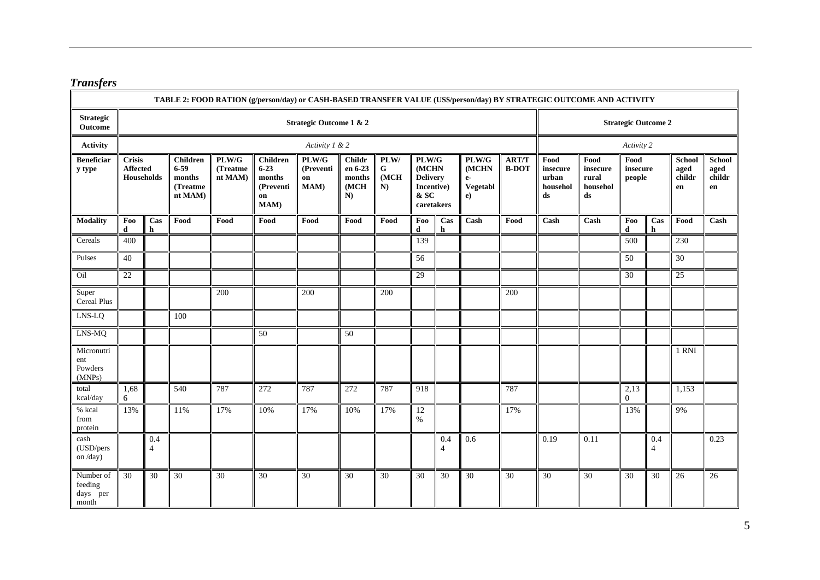# *Transfers*

|                                           | TABLE 2: FOOD RATION (g/person/day) or CASH-BASED TRANSFER VALUE (US\$/person/day) BY STRATEGIC OUTCOME AND ACTIVITY |                       |                                                              |                              |                                                                          |                                  |                                                            |                                  |                                                                       |                       |                                          |                              |                                             |                                                   |                            |                       |                                |                                |
|-------------------------------------------|----------------------------------------------------------------------------------------------------------------------|-----------------------|--------------------------------------------------------------|------------------------------|--------------------------------------------------------------------------|----------------------------------|------------------------------------------------------------|----------------------------------|-----------------------------------------------------------------------|-----------------------|------------------------------------------|------------------------------|---------------------------------------------|---------------------------------------------------|----------------------------|-----------------------|--------------------------------|--------------------------------|
| <b>Strategic</b><br>Outcome               | <b>Strategic Outcome 1 &amp; 2</b>                                                                                   |                       |                                                              |                              |                                                                          |                                  |                                                            |                                  |                                                                       |                       | <b>Strategic Outcome 2</b>               |                              |                                             |                                                   |                            |                       |                                |                                |
| <b>Activity</b>                           |                                                                                                                      | Activity 1 & 2        |                                                              |                              |                                                                          |                                  |                                                            |                                  |                                                                       |                       |                                          |                              |                                             | Activity 2                                        |                            |                       |                                |                                |
| <b>Beneficiar</b><br>y type               | <b>Crisis</b><br><b>Affected</b><br><b>Households</b>                                                                |                       | <b>Children</b><br>$6 - 59$<br>months<br>(Treatme<br>nt MAM) | PLW/G<br>(Treatme<br>nt MAM) | <b>Children</b><br>$6 - 23$<br>months<br>(Preventi<br>on<br><b>MAM</b> ) | PLW/G<br>(Preventi<br>on<br>MAM) | <b>Childr</b><br>en 6-23<br>months<br>(MCH<br>$\mathbf{N}$ | PLW/<br>$\mathbf G$<br>(MCH<br>N | PLW/G<br>(MCHN<br><b>Delivery</b><br>Incentive)<br>& SC<br>caretakers |                       | PLW/G<br>(MCHN<br>$e-$<br>Vegetabl<br>e) | <b>ART/T</b><br><b>B-DOT</b> | Food<br>insecure<br>urban<br>househol<br>ds | Food<br>insecure<br>rural<br>househol<br>$\bf ds$ | Food<br>insecure<br>people |                       | School<br>aged<br>childr<br>en | School<br>aged<br>childr<br>en |
| <b>Modality</b>                           | Foo<br>$\mathbf d$                                                                                                   | Cas<br>h              | Food                                                         | Food                         | Food                                                                     | Food                             | Food                                                       | Food                             | Foo<br>d                                                              | Cas<br>$\mathbf h$    | Cash                                     | Food                         | Cash                                        | Cash                                              | Foo<br>$\mathbf d$         | Cas<br>$\mathbf h$    | Food                           | Cash                           |
| Cereals                                   | 400                                                                                                                  |                       |                                                              |                              |                                                                          |                                  |                                                            |                                  | 139                                                                   |                       |                                          |                              |                                             |                                                   | 500                        |                       | 230                            |                                |
| Pulses                                    | 40                                                                                                                   |                       |                                                              |                              |                                                                          |                                  |                                                            |                                  | 56                                                                    |                       |                                          |                              |                                             |                                                   | 50                         |                       | $\overline{30}$                |                                |
| Oil                                       | 22                                                                                                                   |                       |                                                              |                              |                                                                          |                                  |                                                            |                                  | 29                                                                    |                       |                                          |                              |                                             |                                                   | 30                         |                       | 25                             |                                |
| Super<br>Cereal Plus                      |                                                                                                                      |                       |                                                              | 200                          |                                                                          | 200                              |                                                            | 200                              |                                                                       |                       |                                          | 200                          |                                             |                                                   |                            |                       |                                |                                |
| LNS-LQ                                    |                                                                                                                      |                       | 100                                                          |                              |                                                                          |                                  |                                                            |                                  |                                                                       |                       |                                          |                              |                                             |                                                   |                            |                       |                                |                                |
| LNS-MQ                                    |                                                                                                                      |                       |                                                              |                              | 50                                                                       |                                  | 50                                                         |                                  |                                                                       |                       |                                          |                              |                                             |                                                   |                            |                       |                                |                                |
| Micronutri<br>ent<br>Powders<br>(MNPs)    |                                                                                                                      |                       |                                                              |                              |                                                                          |                                  |                                                            |                                  |                                                                       |                       |                                          |                              |                                             |                                                   |                            |                       | 1 RNI                          |                                |
| total<br>kcal/day                         | 1,68<br>6                                                                                                            |                       | 540                                                          | 787                          | 272                                                                      | 787                              | 272                                                        | 787                              | 918                                                                   |                       |                                          | 787                          |                                             |                                                   | 2,13<br>$\overline{0}$     |                       | 1,153                          |                                |
| % kcal<br>from<br>protein                 | 13%                                                                                                                  |                       | 11%                                                          | 17%                          | 10%                                                                      | 17%                              | 10%                                                        | 17%                              | 12<br>$\%$                                                            |                       |                                          | 17%                          |                                             |                                                   | 13%                        |                       | 9%                             |                                |
| cash<br>(USD/pers<br>on /day)             |                                                                                                                      | 0.4<br>$\overline{4}$ |                                                              |                              |                                                                          |                                  |                                                            |                                  |                                                                       | 0.4<br>$\overline{4}$ | 0.6                                      |                              | 0.19                                        | 0.11                                              |                            | 0.4<br>$\overline{4}$ |                                | 0.23                           |
| Number of<br>feeding<br>days per<br>month | $\overline{30}$                                                                                                      | 30                    | 30                                                           | 30                           | 30                                                                       | 30                               | 30                                                         | 30                               | 30                                                                    | 30                    | 30                                       | 30                           | $\overline{30}$                             | 30                                                | 30                         | 30                    | 26                             | 26                             |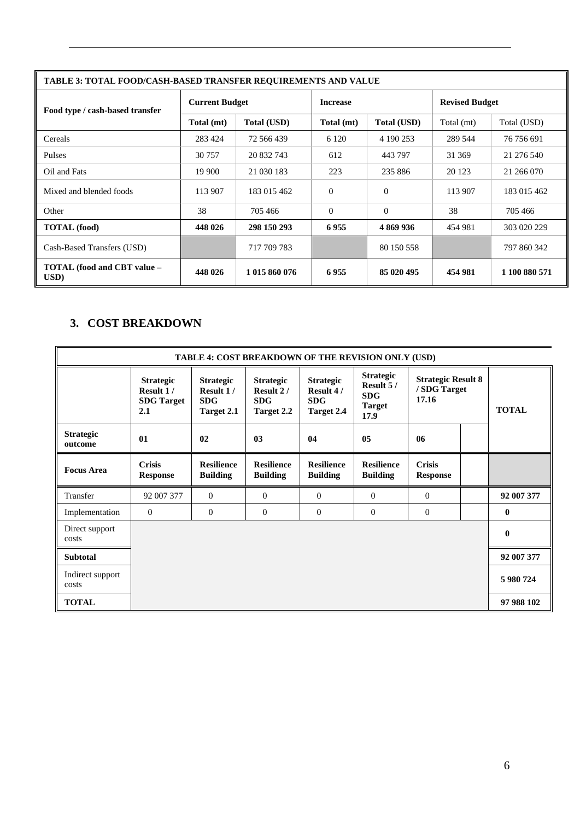| <b>TABLE 3: TOTAL FOOD/CASH-BASED TRANSFER REOUIREMENTS AND VALUE</b> |                       |                    |                 |                    |                       |               |  |  |  |  |
|-----------------------------------------------------------------------|-----------------------|--------------------|-----------------|--------------------|-----------------------|---------------|--|--|--|--|
| Food type / cash-based transfer                                       | <b>Current Budget</b> |                    | <b>Increase</b> |                    | <b>Revised Budget</b> |               |  |  |  |  |
|                                                                       | Total (mt)            | <b>Total (USD)</b> | Total (mt)      | <b>Total (USD)</b> | Total (mt)            | Total (USD)   |  |  |  |  |
| Cereals                                                               | 283 424               | 72 566 439         | 6 1 2 0         | 4 190 253          | 289 544               | 76 756 691    |  |  |  |  |
| Pulses                                                                | 30 757                | 20 832 743         | 612             | 443 797            | 31 369                | 21 276 540    |  |  |  |  |
| Oil and Fats                                                          | 19 900                | 21 030 183         | 223             | 235 886            | 20 123                | 21 266 070    |  |  |  |  |
| Mixed and blended foods                                               | 113 907               | 183 015 462        | $\Omega$        | $\Omega$           | 113 907               | 183 015 462   |  |  |  |  |
| Other                                                                 | 38                    | 705 466            | $\Omega$        | $\Omega$           | 38                    | 705 466       |  |  |  |  |
| <b>TOTAL</b> (food)                                                   | 448 026               | 298 150 293        | 6955            | 4869936            | 454 981               | 303 020 229   |  |  |  |  |
| Cash-Based Transfers (USD)                                            |                       | 717 709 783        |                 | 80 150 558         |                       | 797 860 342   |  |  |  |  |
| TOTAL (food and CBT value -<br>USD)                                   | 448 026               | 1 015 860 076      | 6955            | 85 020 495         | 454 981               | 1 100 880 571 |  |  |  |  |

## **3. COST BREAKDOWN**

| TABLE 4: COST BREAKDOWN OF THE REVISION ONLY (USD) |                                                           |                                                           |                                                           |                                                                  |                                                                      |                                                    |  |              |  |              |
|----------------------------------------------------|-----------------------------------------------------------|-----------------------------------------------------------|-----------------------------------------------------------|------------------------------------------------------------------|----------------------------------------------------------------------|----------------------------------------------------|--|--------------|--|--------------|
|                                                    | <b>Strategic</b><br>Result 1/<br><b>SDG</b> Target<br>2.1 | <b>Strategic</b><br>Result 1/<br><b>SDG</b><br>Target 2.1 | <b>Strategic</b><br>Result 2/<br><b>SDG</b><br>Target 2.2 | <b>Strategic</b><br>Result 4/<br><b>SDG</b><br><b>Target 2.4</b> | <b>Strategic</b><br>Result 5/<br><b>SDG</b><br><b>Target</b><br>17.9 | <b>Strategic Result 8</b><br>/ SDG Target<br>17.16 |  |              |  | <b>TOTAL</b> |
| <b>Strategic</b><br>outcome                        | 01                                                        | 02                                                        | 03                                                        | 04                                                               | 05                                                                   | 06                                                 |  |              |  |              |
| <b>Focus Area</b>                                  | <b>Crisis</b><br><b>Response</b>                          | <b>Resilience</b><br><b>Building</b>                      | <b>Resilience</b><br><b>Building</b>                      | <b>Resilience</b><br><b>Building</b>                             | <b>Resilience</b><br><b>Building</b>                                 | <b>Crisis</b><br><b>Response</b>                   |  |              |  |              |
| Transfer                                           | 92 007 377                                                | $\overline{0}$                                            | $\mathbf{0}$                                              | $\theta$                                                         | $\Omega$                                                             | $\theta$                                           |  | 92 007 377   |  |              |
| Implementation                                     | $\overline{0}$                                            | $\mathbf{0}$                                              | $\mathbf{0}$                                              | $\mathbf{0}$                                                     | $\overline{0}$                                                       | $\overline{0}$                                     |  | $\bf{0}$     |  |              |
| Direct support<br>costs                            |                                                           |                                                           |                                                           |                                                                  |                                                                      |                                                    |  | $\mathbf{0}$ |  |              |
| <b>Subtotal</b>                                    |                                                           |                                                           |                                                           |                                                                  |                                                                      |                                                    |  | 92 007 377   |  |              |
| Indirect support<br>costs                          |                                                           |                                                           |                                                           |                                                                  |                                                                      |                                                    |  | 5 980 724    |  |              |
| <b>TOTAL</b>                                       |                                                           |                                                           |                                                           |                                                                  |                                                                      |                                                    |  | 97 988 102   |  |              |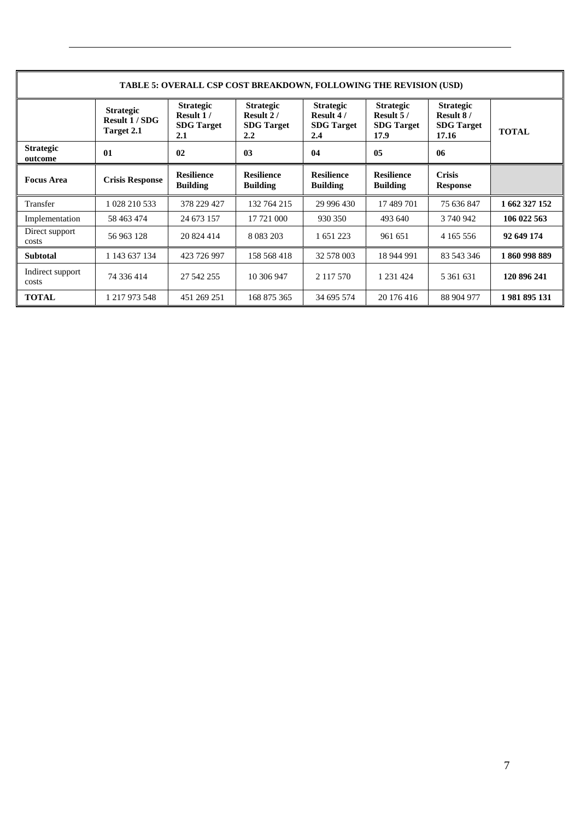| <b>TABLE 5: OVERALL CSP COST BREAKDOWN, FOLLOWING THE REVISION (USD)</b> |                                                       |                                                           |                                                           |                                                           |                                                              |                                                             |               |  |  |  |
|--------------------------------------------------------------------------|-------------------------------------------------------|-----------------------------------------------------------|-----------------------------------------------------------|-----------------------------------------------------------|--------------------------------------------------------------|-------------------------------------------------------------|---------------|--|--|--|
|                                                                          | <b>Strategic</b><br><b>Result 1/SDG</b><br>Target 2.1 | <b>Strategic</b><br>Result 1/<br><b>SDG</b> Target<br>2.1 | <b>Strategic</b><br>Result 2/<br><b>SDG</b> Target<br>2.2 | <b>Strategic</b><br>Result 4/<br><b>SDG</b> Target<br>2.4 | <b>Strategic</b><br>Result $5/$<br><b>SDG</b> Target<br>17.9 | <b>Strategic</b><br>Result 8/<br><b>SDG</b> Target<br>17.16 | <b>TOTAL</b>  |  |  |  |
| <b>Strategic</b><br>outcome                                              | 01                                                    | 02                                                        | 03                                                        | 04                                                        | 05                                                           | 06                                                          |               |  |  |  |
| <b>Focus Area</b>                                                        | <b>Crisis Response</b>                                | <b>Resilience</b><br><b>Building</b>                      | <b>Resilience</b><br><b>Building</b>                      | <b>Resilience</b><br><b>Building</b>                      | <b>Resilience</b><br><b>Building</b>                         | <b>Crisis</b><br><b>Response</b>                            |               |  |  |  |
| Transfer                                                                 | 1 028 210 533                                         | 378 229 427                                               | 132 764 215                                               | 29 996 430                                                | 17 489 701                                                   | 75 636 847                                                  | 1 662 327 152 |  |  |  |
| Implementation                                                           | 58 463 474                                            | 24 673 157                                                | 17 721 000                                                | 930 350                                                   | 493 640                                                      | 3 740 942                                                   | 106 022 563   |  |  |  |
| Direct support<br>costs                                                  | 56 963 128                                            | 20 824 414                                                | 8 0 8 3 2 0 3                                             | 1 651 223                                                 | 961 651                                                      | 4 1 6 5 5 5 6                                               | 92 649 174    |  |  |  |
| <b>Subtotal</b>                                                          | 1 143 637 134                                         | 423 726 997                                               | 158 568 418                                               | 32 578 003                                                | 18 944 991                                                   | 83 543 346                                                  | 1860998889    |  |  |  |
| Indirect support<br>costs                                                | 74 336 414                                            | 27 542 255                                                | 10 306 947                                                | 2 1 1 7 5 7 0                                             | 1 2 3 1 4 2 4                                                | 5 361 631                                                   | 120 896 241   |  |  |  |
| <b>TOTAL</b>                                                             | 1 217 973 548                                         | 451 269 251                                               | 168 875 365                                               | 34 695 574                                                | 20 176 416                                                   | 88 904 977                                                  | 1981895131    |  |  |  |